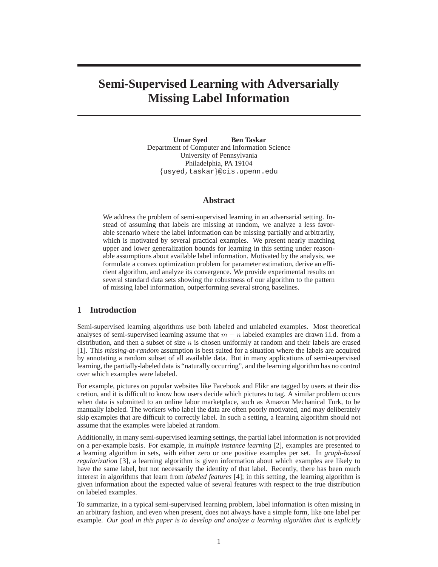# **Semi-Supervised Learning with Adversarially Missing Label Information**

**Umar Syed Ben Taskar** Department of Computer and Information Science University of Pennsylvania Philadelphia, PA 19104 {usyed,taskar}@cis.upenn.edu

## **Abstract**

We address the problem of semi-supervised learning in an adversarial setting. Instead of assuming that labels are missing at random, we analyze a less favorable scenario where the label information can be missing partially and arbitrarily, which is motivated by several practical examples. We present nearly matching upper and lower generalization bounds for learning in this setting under reasonable assumptions about available label information. Motivated by the analysis, we formulate a convex optimization problem for parameter estimation, derive an efficient algorithm, and analyze its convergence. We provide experimental results on several standard data sets showing the robustness of our algorithm to the pattern of missing label information, outperforming several strong baselines.

## **1 Introduction**

Semi-supervised learning algorithms use both labeled and unlabeled examples. Most theoretical analyses of semi-supervised learning assume that  $m + n$  labeled examples are drawn i.i.d. from a distribution, and then a subset of size  $n$  is chosen uniformly at random and their labels are erased [1]. This *missing-at-random* assumption is best suited for a situation where the labels are acquired by annotating a random subset of all available data. But in many applications of semi-supervised learning, the partially-labeled data is "naturally occurring", and the learning algorithm has no control over which examples were labeled.

For example, pictures on popular websites like Facebook and Flikr are tagged by users at their discretion, and it is difficult to know how users decide which pictures to tag. A similar problem occurs when data is submitted to an online labor marketplace, such as Amazon Mechanical Turk, to be manually labeled. The workers who label the data are often poorly motivated, and may deliberately skip examples that are difficult to correctly label. In such a setting, a learning algorithm should not assume that the examples were labeled at random.

Additionally, in many semi-supervised learning settings, the partial label information is not provided on a per-example basis. For example, in *multiple instance learning* [2], examples are presented to a learning algorithm in sets, with either zero or one positive examples per set. In *graph-based regularization* [3], a learning algorithm is given information about which examples are likely to have the same label, but not necessarily the identity of that label. Recently, there has been much interest in algorithms that learn from *labeled features* [4]; in this setting, the learning algorithm is given information about the expected value of several features with respect to the true distribution on labeled examples.

To summarize, in a typical semi-supervised learning problem, label information is often missing in an arbitrary fashion, and even when present, does not always have a simple form, like one label per example. *Our goal in this paper is to develop and analyze a learning algorithm that is explicitly*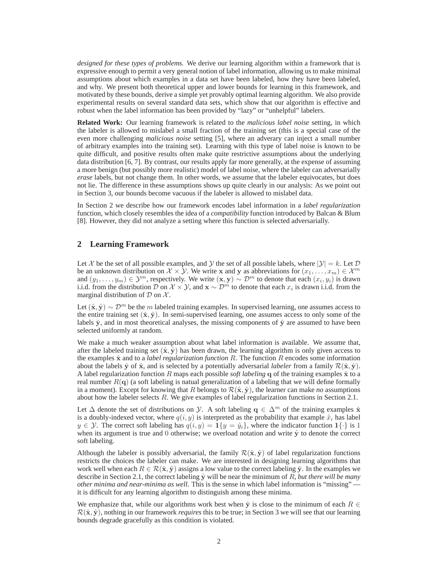*designed for these types of problems.* We derive our learning algorithm within a framework that is expressive enough to permit a very general notion of label information, allowing us to make minimal assumptions about which examples in a data set have been labeled, how they have been labeled, and why. We present both theoretical upper and lower bounds for learning in this framework, and motivated by these bounds, derive a simple yet provably optimal learning algorithm. We also provide experimental results on several standard data sets, which show that our algorithm is effective and robust when the label information has been provided by "lazy" or "unhelpful" labelers.

**Related Work:** Our learning framework is related to the *malicious label noise* setting, in which the labeler is allowed to mislabel a small fraction of the training set (this is a special case of the even more challenging *malicious noise* setting [5], where an adverary can inject a small number of arbitrary examples into the training set). Learning with this type of label noise is known to be quite difficult, and positive results often make quite restrictive assumptions about the underlying data distribution [6, 7]. By contrast, our results apply far more generally, at the expense of assuming a more benign (but possibly more realistic) model of label noise, where the labeler can adversarially *erase* labels, but not change them. In other words, we assume that the labeler equivocates, but does not lie. The difference in these assumptions shows up quite clearly in our analysis: As we point out in Section 3, our bounds become vacuous if the labeler is allowed to mislabel data.

In Section 2 we describe how our framework encodes label information in a *label regularization* function, which closely resembles the idea of a *compatibility* function introduced by Balcan & Blum [8]. However, they did not analyze a setting where this function is selected adversarially.

## **2 Learning Framework**

Let X be the set of all possible examples, and Y the set of all possible labels, where  $|\mathcal{Y}| = k$ . Let D be an unknown distribution on  $\mathcal{X} \times \mathcal{Y}$ . We write x and y as abbreviations for  $(x_1, \ldots, x_m) \in \mathcal{X}^m$ and  $(y_1, \ldots, y_m) \in \mathcal{Y}^m$ , respectively. We write  $(\mathbf{x}, \mathbf{y}) \sim \mathcal{D}^m$  to denote that each  $(x_i, y_i)$  is drawn i.i.d. from the distribution  $\mathcal D$  on  $\mathcal X \times \mathcal Y$ , and  $\mathbf x \sim \mathcal D^m$  to denote that each  $x_i$  is drawn i.i.d. from the marginal distribution of  $D$  on  $X$ .

Let  $(\hat{\mathbf{x}}, \hat{\mathbf{y}}) \sim \mathcal{D}^m$  be the m labeled training examples. In supervised learning, one assumes access to the entire training set  $(\hat{x}, \hat{y})$ . In semi-supervised learning, one assumes access to only some of the labels  $\hat{y}$ , and in most theoretical analyses, the missing components of  $\hat{y}$  are assumed to have been selected uniformly at random.

We make a much weaker assumption about what label information is available. We assume that, after the labeled training set  $(\hat{x}, \hat{y})$  has been drawn, the learning algorithm is only given access to the examples  $\hat{x}$  and to a *label regularization function*  $R$ . The function  $R$  encodes some information about the labels  $\hat{y}$  of  $\hat{x}$ , and is selected by a potentially adversarial *labeler* from a family  $\mathcal{R}(\hat{x}, \hat{y})$ . A label regularization function R maps each possible *soft labeling* q of the training examples  $\hat{x}$  to a real number  $R(\mathbf{q})$  (a soft labeling is natual generalization of a labeling that we will define formally in a moment). Except for knowing that R belongs to  $\mathcal{R}(\hat{\mathbf{x}}, \hat{\mathbf{y}})$ , the learner can make *no* assumptions about how the labeler selects R. We give examples of label regularization functions in Section 2.1.

Let  $\Delta$  denote the set of distributions on y. A soft labeling  $q \in \Delta^m$  of the training examples  $\hat{\mathbf{x}}$ is a doubly-indexed vector, where  $q(i, y)$  is interpreted as the probability that example  $\hat{x}_i$  has label  $y \in \mathcal{Y}$ . The correct soft labeling has  $q(i, y) = \mathbf{1}\{y = \hat{y}_i\}$ , where the indicator function  $\mathbf{1}\{\cdot\}$  is 1 when its argument is true and 0 otherwise; we overload notation and write  $\hat{y}$  to denote the correct soft labeling.

Although the labeler is possibly adversarial, the family  $\mathcal{R}(\hat{\mathbf{x}}, \hat{\mathbf{y}})$  of label regularization functions restricts the choices the labeler can make. We are interested in designing learning algorithms that work well when each  $R \in \mathcal{R}(\hat{\mathbf{x}}, \hat{\mathbf{y}})$  assigns a low value to the correct labeling  $\hat{\mathbf{y}}$ . In the examples we describe in Section 2.1, the correct labeling  $\hat{y}$  will be near the minimum of R, *but there will be many other minima and near-minima as well.* This is the sense in which label information is "missing" it is difficult for any learning algorithm to distinguish among these minima.

We emphasize that, while our algorithms work best when  $\hat{y}$  is close to the minimum of each  $R \in$  $\mathcal{R}(\hat{\mathbf{x}}, \hat{\mathbf{y}})$ , nothing in our framework *requires* this to be true; in Section 3 we will see that our learning bounds degrade gracefully as this condition is violated.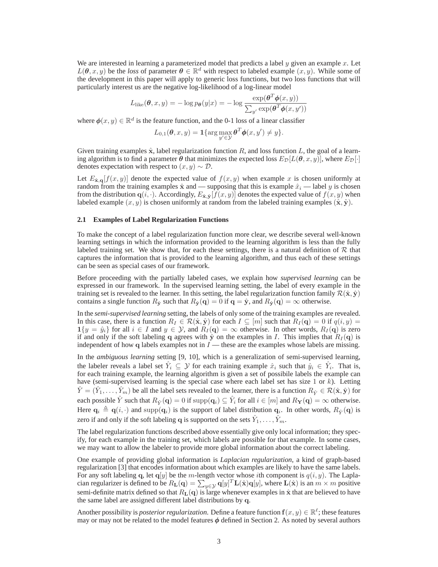We are interested in learning a parameterized model that predicts a label  $y$  given an example  $x$ . Let  $L(\theta, x, y)$  be the *loss* of parameter  $\theta \in \mathbb{R}^d$  with respect to labeled example  $(x, y)$ . While some of the development in this paper will apply to generic loss functions, but two loss functions that will particularly interest us are the negative log-likelihood of a log-linear model

$$
L_{\rm like}(\theta, x, y) = -\log p_{\theta}(y|x) = -\log \frac{\exp(\theta^T \phi(x, y))}{\sum_{y'} \exp(\theta^T \phi(x, y'))}
$$

where  $\phi(x, y) \in \mathbb{R}^d$  is the feature function, and the 0-1 loss of a linear classifier

$$
L_{0,1}(\boldsymbol{\theta},x,y) = \mathbf{1}\{\arg\max_{y' \in \mathcal{Y}} \boldsymbol{\theta}^T \boldsymbol{\phi}(x,y') \neq y\}.
$$

Given training examples  $\hat{\mathbf{x}}$ , label regularization function R, and loss function L, the goal of a learning algorithm is to find a parameter  $\theta$  that minimizes the expected loss  $E_{\mathcal{D}}[L(\theta, x, y)]$ , where  $E_{\mathcal{D}}[\cdot]$ denotes expectation with respect to  $(x, y) \sim \mathcal{D}$ .

Let  $E_{\hat{\mathbf{x}}, \mathbf{q}}[f(x, y)]$  denote the expected value of  $f(x, y)$  when example x is chosen uniformly at random from the training examples  $\hat{x}$  and — supposing that this is example  $\hat{x}_i$  — label y is chosen from the distribution  $q(i, \cdot)$ . Accordingly,  $E_{\hat{\mathbf{x}}, \hat{\mathbf{y}}}[f(x, y)]$  denotes the expected value of  $f(x, y)$  when labeled example  $(x, y)$  is chosen uniformly at random from the labeled training examples  $(\hat{x}, \hat{y})$ .

#### **2.1 Examples of Label Regularization Functions**

To make the concept of a label regularization function more clear, we describe several well-known learning settings in which the information provided to the learning algorithm is less than the fully labeled training set. We show that, for each these settings, there is a natural definition of  $R$  that captures the information that is provided to the learning algorithm, and thus each of these settings can be seen as special cases of our framework.

Before proceeding with the partially labeled cases, we explain how *supervised learning* can be expressed in our framework. In the supervised learning setting, the label of every example in the training set is revealed to the learner. In this setting, the label regularization function family  $\mathcal{R}(\hat{\mathbf{x}}, \hat{\mathbf{y}})$ contains a single function  $R_{\hat{\mathbf{y}}}$  such that  $R_{\hat{\mathbf{y}}}(\mathbf{q}) = 0$  if  $\mathbf{q} = \hat{\mathbf{y}}$ , and  $R_{\hat{\mathbf{y}}}(\mathbf{q}) = \infty$  otherwise.

In the *semi-supervised learning* setting, the labels of only some of the training examples are revealed. In this case, there is a function  $R_I \in \mathcal{R}(\hat{\mathbf{x}}, \hat{\mathbf{y}})$  for each  $I \subseteq [m]$  such that  $R_I(\mathbf{q}) = 0$  if  $q(i, y) =$  $1\{y = \hat{y}_i\}$  for all  $i \in I$  and  $y \in Y$ , and  $R_I(q) = \infty$  otherwise. In other words,  $R_I(q)$  is zero if and only if the soft labeling q agrees with  $\hat{y}$  on the examples in I. This implies that  $R_I(q)$  is independent of how q labels examples not in  $I$  — these are the examples whose labels are missing.

In the *ambiguous learning* setting [9, 10], which is a generalization of semi-supervised learning, the labeler reveals a label set  $\hat{Y}_i \subseteq Y$  for each training example  $\hat{x}_i$  such that  $\hat{y}_i \in \hat{Y}_i$ . That is, for each training example, the learning algorithm is given a set of possibile labels the example can have (semi-supervised learning is the special case where each label set has size 1 or  $k$ ). Letting  $\hat{Y} = (\hat{Y}_1, \dots, \hat{Y}_m)$  be all the label sets revealed to the learner, there is a function  $R_{\hat{Y}} \in \mathcal{R}(\hat{\mathbf{x}}, \hat{\mathbf{y}})$  for each possible  $\hat{Y}$  such that  $R_{\hat{Y}}(\mathbf{q}) = 0$  if  $\text{supp}(\mathbf{q}_i) \subseteq \hat{Y}_i$  for all  $i \in [m]$  and  $R_{\mathbf{Y}}(\mathbf{q}) = \infty$  otherwise. Here  $\mathbf{q}_i \triangleq \mathbf{q}(i, \cdot)$  and  $\text{supp}(\mathbf{q}_i)$  is the support of label distribution  $\mathbf{q}_i$ . In other words,  $R_{\hat{Y}}(\mathbf{q})$  is zero if and only if the soft labeling **q** is supported on the sets  $\hat{Y}_1, \ldots, \hat{Y}_m$ .

The label regularization functions described above essentially give only local information; they specify, for each example in the training set, which labels are possible for that example. In some cases, we may want to allow the labeler to provide more global information about the correct labeling.

One example of providing global information is *Laplacian regularization*, a kind of graph-based regularization [3] that encodes information about which examples are likely to have the same labels. For any soft labeling q, let q[y] be the m-length vector whose ith component is  $q(i, y)$ . The Laplacian regularizer is defined to be  $R_L(q) = \sum_{y \in \mathcal{Y}} q[y]^T L(\hat{x}) q[y]$ , where  $L(\hat{x})$  is an  $m \times m$  positive semi-definite matrix defined so that  $R_L(q)$  is large whenever examples in  $\hat{x}$  that are believed to have the same label are assigned different label distributions by q.

Another possibility is *posterior regularization*. Define a feature function  $f(x, y) \in \mathbb{R}^{\ell}$ ; these features may or may not be related to the model features  $\phi$  defined in Section 2. As noted by several authors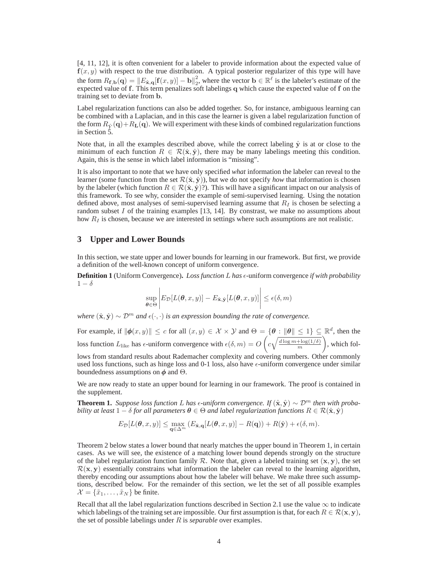[4, 11, 12], it is often convenient for a labeler to provide information about the expected value of  $f(x, y)$  with respect to the true distribution. A typical posterior regularizer of this type will have the form  $R_{\mathbf{f},\mathbf{b}}(\mathbf{q}) = ||E_{\hat{\mathbf{x}},\mathbf{q}}[\mathbf{f}(x,y)] - \mathbf{b}||_2^2$ <sup>2</sup><sub>2</sub>, where the vector **b**  $\in \mathbb{R}^{\ell}$  is the labeler's estimate of the expected value of f. This term penalizes soft labelings q which cause the expected value of f on the training set to deviate from b.

Label regularization functions can also be added together. So, for instance, ambiguous learning can be combined with a Laplacian, and in this case the learner is given a label regularization function of the form  $R_{\hat{Y}}(q) + R_L(q)$ . We will experiment with these kinds of combined regularization functions in Section 5.

Note that, in all the examples described above, while the correct labeling  $\hat{y}$  is at or close to the minimum of each function  $R \in \mathcal{R}(\hat{\mathbf{x}}, \hat{\mathbf{y}})$ , there may be many labelings meeting this condition. Again, this is the sense in which label information is "missing".

It is also important to note that we have only specified *what* information the labeler can reveal to the learner (some function from the set  $\mathcal{R}(\hat{\mathbf{x}}, \hat{\mathbf{y}})$ ), but we do not specify *how* that information is chosen by the labeler (which function  $R \in \mathcal{R}(\hat{\mathbf{x}}, \hat{\mathbf{y}})$ ?). This will have a significant impact on our analysis of this framework. To see why, consider the example of semi-supervised learning. Using the notation defined above, most analyses of semi-supervised learning assume that  $R_I$  is chosen be selecting a random subset I of the training examples  $[13, 14]$ . By constrast, we make no assumptions about how  $R_I$  is chosen, because we are interested in settings where such assumptions are not realistic.

## **3 Upper and Lower Bounds**

In this section, we state upper and lower bounds for learning in our framework. But first, we provide a definition of the well-known concept of uniform convergence.

**Definition 1** (Uniform Convergence). *Loss function L has*  $\epsilon$ -uniform convergence *if with probability*  $1-\delta$ 

$$
\sup_{\theta \in \Theta} \left| E_{\mathcal{D}}[L(\theta, x, y)] - E_{\hat{\mathbf{x}}, \hat{\mathbf{y}}}[L(\theta, x, y)] \right| \le \epsilon(\delta, m)
$$

*where*  $(\hat{\mathbf{x}}, \hat{\mathbf{y}}) \sim \mathcal{D}^m$  *and*  $\epsilon(\cdot, \cdot)$  *is an expression bounding the rate of convergence.* 

For example, if  $\|\phi(x, y)\| \leq c$  for all  $(x, y) \in \mathcal{X} \times \mathcal{Y}$  and  $\Theta = \{\theta : \|\theta\| \leq 1\} \subseteq \mathbb{R}^d$ , then the loss function  $L_{\text{like}}$  has  $\epsilon$ -uniform convergence with  $\epsilon(\delta, m) = O\left(c\sqrt{\frac{d \log m + \log(1/\delta)}{m}}\right)$ m , which follows from standard results about Rademacher complexity and covering numbers. Other commonly used loss functions, such as hinge loss and 0-1 loss, also have  $\epsilon$ -uniform convergence under similar boundedness assumptions on  $\phi$  and  $\Theta$ .

We are now ready to state an upper bound for learning in our framework. The proof is contained in the supplement.

**Theorem 1.** *Suppose loss function* L *has*  $\epsilon$ -uniform convergence. If  $(\hat{\mathbf{x}}, \hat{\mathbf{y}}) \sim \mathcal{D}^m$  *then with probability at least*  $1 - \delta$  *for all parameters*  $\theta \in \Theta$  *and label regularization functions*  $R \in \mathcal{R}(\hat{\mathbf{x}}, \hat{\mathbf{y}})$ 

$$
E_{\mathcal{D}}[L(\boldsymbol{\theta},x,y)] \leq \max_{\mathbf{q} \in \Delta^m} (E_{\hat{\mathbf{x}},\mathbf{q}}[L(\boldsymbol{\theta},x,y)] - R(\mathbf{q})) + R(\hat{\mathbf{y}}) + \epsilon(\delta,m).
$$

Theorem 2 below states a lower bound that nearly matches the upper bound in Theorem 1, in certain cases. As we will see, the existence of a matching lower bound depends strongly on the structure of the label regularization function family R. Note that, given a labeled training set  $(x, y)$ , the set  $\mathcal{R}(x, y)$  essentially constrains what information the labeler can reveal to the learning algorithm, thereby encoding our assumptions about how the labeler will behave. We make three such assumptions, described below. For the remainder of this section, we let the set of all possible examples  $\mathcal{X} = {\tilde{x}_1, \ldots, \tilde{x}_N}$  be finite.

Recall that all the label regularization functions described in Section 2.1 use the value  $\infty$  to indicate which labelings of the training set are impossible. Our first assumption is that, for each  $R \in \mathcal{R}(\mathbf{x}, \mathbf{y})$ , the set of possible labelings under R is *separable* over examples.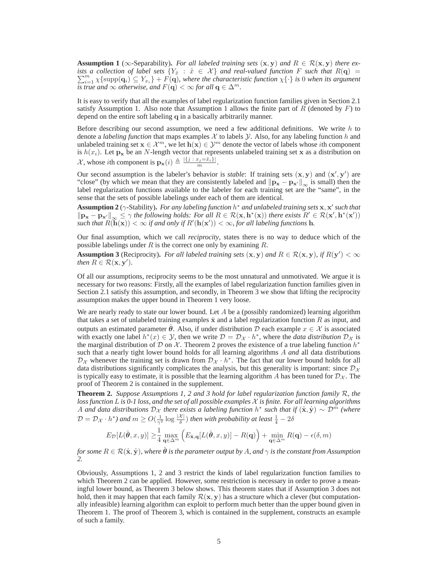**Assumption 1** ( $\infty$ -Separability). For all labeled training sets  $(x, y)$  and  $R \in \mathcal{R}(x, y)$  there ex- $\sum$ ists a collection of label sets  $\{Y_{\tilde{x}} : \tilde{x} \in \mathcal{X}\}$  and real-valued function F such that  $R(\mathbf{q}) = \sum_{i=1}^{m} \chi \{ \text{supp}(\mathbf{q}_i) \subseteq Y_{x_i} \} + F(\mathbf{q})$ , where the characteristic function  $\chi \{\cdot\}$  is 0 when its argument *is true and*  $\infty$  *otherwise, and*  $F(\mathbf{q}) < \infty$  *for all*  $\mathbf{q} \in \Delta^m$ .

It is easy to verify that all the examples of label regularization function families given in Section 2.1 satisfy Assumption 1. Also note that Assumption 1 allows the finite part of R (denoted by  $F$ ) to depend on the entire soft labeling q in a basically arbitrarily manner.

Before describing our second assumption, we need a few additional definitions. We write  $h$  to denote a *labeling function* that maps examples  $X$  to labels  $Y$ . Also, for any labeling function h and unlabeled training set  $x \in \mathcal{X}^m$ , we let  $h(x) \in \mathcal{Y}^m$  denote the vector of labels whose *i*th component is  $h(x_i)$ . Let  $p_x$  be an N-length vector that represents unlabeled training set x as a distribution on  $\mathcal{X}$ , whose *i*th component is  $\mathbf{p}_{\mathbf{x}}(i) \triangleq \frac{|\{j : x_j = \tilde{x}_i\}|}{m}$ .

Our second assumption is the labeler's behavior is *stable*: If training sets  $(x, y)$  and  $(x', y')$  are "close" (by which we mean that they are consistently labeled and  $\|\mathbf{p_x} - \mathbf{p_x}'\|_{\infty}$  is small) then the label regularization functions available to the labeler for each training set are the "same", in the sense that the sets of possible labelings under each of them are identical.

**Assumption 2** (γ-Stability)**.** *For any labeling function* h <sup>∗</sup> *and unlabeled training sets* x, x ′ *such that*  $\|\mathbf{p_x} - \mathbf{p_x}|\_\infty \leq \gamma$  the following holds: For all  $R \in \mathcal{R}(\mathbf{x}, \mathbf{h}^*(\mathbf{x}))$  there exists  $R' \in \mathcal{R}(\mathbf{x}', \mathbf{h}^*(\mathbf{x}'))$ *such that*  $R(\widetilde{\bf h}({\bf x})) < \infty$  *if and only if*  $R'({\bf h}({\bf x}')) < \infty$ *, for all labeling functions* **h**.

Our final assumption, which we call *reciprocity*, states there is no way to deduce which of the possible labelings under R is the correct one only by examining R.

**Assumption 3** (Reciprocity). For all labeled training sets  $(x, y)$  and  $R \in \mathcal{R}(x, y)$ , if  $R(y') < \infty$ *then*  $R \in \mathcal{R}(\mathbf{x}, \mathbf{y}')$ *.* 

Of all our assumptions, reciprocity seems to be the most unnatural and unmotivated. We argue it is necessary for two reasons: Firstly, all the examples of label regularization function families given in Section 2.1 satisfy this assumption, and secondly, in Theorem 3 we show that lifting the reciprocity assumption makes the upper bound in Theorem 1 very loose.

We are nearly ready to state our lower bound. Let  $A$  be a (possibly randomized) learning algorithm that takes a set of unlabeled training examples  $\hat{x}$  and a label regularization function R as input, and outputs an estimated parameter  $\hat{\theta}$ . Also, if under distribution D each example  $x \in \mathcal{X}$  is associated with exactly one label  $h^*(x) \in \mathcal{Y}$ , then we write  $\mathcal{D} = \mathcal{D}_{\mathcal{X}} \cdot h^*$ , where the *data distribution*  $\mathcal{D}_{\mathcal{X}}$  is the marginal distribution of D on X. Theorem 2 proves the existence of a true labeling function  $h^*$ such that a nearly tight lower bound holds for all learning algorithms A *and* all data distributions  $\mathcal{D}_{\mathcal{X}}$  whenever the training set is drawn from  $\mathcal{D}_{\mathcal{X}} \cdot h^*$ . The fact that our lower bound holds for all data distributions significantly complicates the analysis, but this generality is important: since  $\mathcal{D}_{\mathcal{X}}$ is typically easy to estimate, it is possible that the learning algorithm A has been tuned for  $\mathcal{D}_{\mathcal{X}}$ . The proof of Theorem 2 is contained in the supplement.

**Theorem 2.** *Suppose Assumptions 1, 2 and 3 hold for label regularization function family* R*, the loss function* L *is 0-1 loss, and the set of all possible examples* X *is finite. For all learning algorithms* A and data distributions  $D_x$  there exists a labeling function  $h^*$  such that if  $(\hat{x}, \hat{y}) \sim \mathcal{D}^m$  (where  $\mathcal{D}=\mathcal{D}_\mathcal{X}\cdot h^*$ ) and  $m\geq O(\frac{1}{\gamma^2}\log\frac{|\mathcal{X}|}{\delta})$  then with probability at least  $\frac{1}{4}-2\delta$ 

$$
E_{\mathcal{D}}[L(\hat{\boldsymbol{\theta}},x,y)] \geq \frac{1}{4} \max_{\mathbf{q} \in \Delta^m} \left( E_{\hat{\mathbf{x}},\mathbf{q}}[L(\hat{\boldsymbol{\theta}},x,y)] - R(\mathbf{q}) \right) + \min_{\mathbf{q} \in \Delta^m} R(\mathbf{q}) - \epsilon(\delta,m)
$$

*for some*  $R \in \mathcal{R}(\hat{\mathbf{x}}, \hat{\mathbf{y}})$ *, where*  $\hat{\boldsymbol{\theta}}$  *is the parameter output by A, and*  $\gamma$  *is the constant from Assumption 2.*

Obviously, Assumptions 1, 2 and 3 restrict the kinds of label regularization function families to which Theorem 2 can be applied. However, some restriction is necessary in order to prove a meaningful lower bound, as Theorem 3 below shows. This theorem states that if Assumption 3 does not hold, then it may happen that each family  $\mathcal{R}(x, y)$  has a structure which a clever (but computationally infeasible) learning algorithm can exploit to perform much better than the upper bound given in Theorem 1. The proof of Theorem 3, which is contained in the supplement, constructs an example of such a family.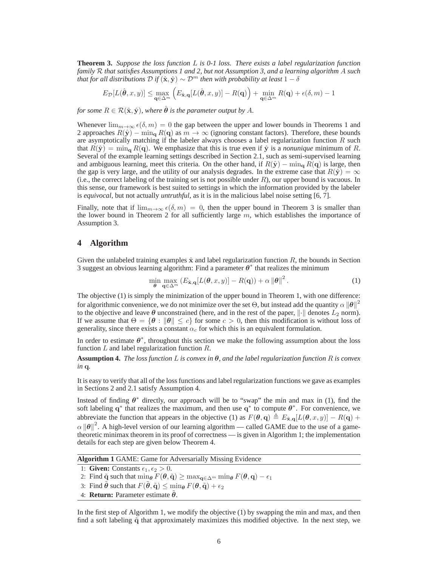**Theorem 3.** *Suppose the loss function* L *is 0-1 loss. There exists a label regularization function family* R *that satisfies Assumptions 1 and 2, but not Assumption 3, and a learning algorithm* A *such that for all distributions*  $D$  *if*  $(\hat{\mathbf{x}}, \hat{\mathbf{y}}) \sim D^m$  *then with probability at least*  $1 - \delta$ 

$$
E_{\mathcal{D}}[L(\hat{\boldsymbol{\theta}},x,y)] \le \max_{\mathbf{q}\in\Delta^m} \left( E_{\hat{\mathbf{x}},\mathbf{q}}[L(\hat{\boldsymbol{\theta}},x,y)] - R(\mathbf{q}) \right) + \min_{\mathbf{q}\in\Delta^m} R(\mathbf{q}) + \epsilon(\delta,m) - 1
$$

*for some*  $R \in \mathcal{R}(\hat{\mathbf{x}}, \hat{\mathbf{y}})$ *, where*  $\hat{\boldsymbol{\theta}}$  *is the parameter output by* A.

Whenever  $\lim_{m\to\infty} \epsilon(\delta, m) = 0$  the gap between the upper and lower bounds in Theorems 1 and 2 approaches  $R(\hat{y}) - \min_{q} R(q)$  as  $m \to \infty$  (ignoring constant factors). Therefore, these bounds are asymptotically matching if the labeler always chooses a label regularization function  $R$  such that  $R(\hat{y}) = \min_{\mathbf{q}} R(\mathbf{q})$ . We emphasize that this is true even if  $\hat{y}$  is a *nonunique* minimum of R. Several of the example learning settings described in Section 2.1, such as semi-supervised learning and ambiguous learning, meet this criteria. On the other hand, if  $R(\hat{y}) - \min_{\mathbf{G}} R(\mathbf{q})$  is large, then the gap is very large, and the utility of our analysis degrades. In the extreme case that  $R(\hat{y}) = \infty$ (i.e., the correct labeling of the training set is not possible under  $R$ ), our upper bound is vacuous. In this sense, our framework is best suited to settings in which the information provided by the labeler is *equivocal*, but not actually *untruthful*, as it is in the malicious label noise setting [6, 7].

Finally, note that if  $\lim_{m\to\infty} \epsilon(\delta, m) = 0$ , then the upper bound in Theorem 3 is smaller than the lower bound in Theorem 2 for all sufficiently large  $m$ , which establishes the importance of Assumption 3.

### **4 Algorithm**

Given the unlabeled training examples  $\hat{x}$  and label regularization function R, the bounds in Section 3 suggest an obvious learning algorithm: Find a parameter  $\theta^*$  that realizes the minimum

$$
\min_{\theta} \max_{\mathbf{q} \in \Delta^m} \left( E_{\hat{\mathbf{x}}, \mathbf{q}} [L(\theta, x, y)] - R(\mathbf{q}) \right) + \alpha \left\| \theta \right\|^2. \tag{1}
$$

The objective (1) is simply the minimization of the upper bound in Theorem 1, with one difference: for algorithmic convenience, we do not minimize over the set  $\Theta$ , but instead add the quantity  $\alpha \|\theta\|^2$ to the objective and leave  $\theta$  unconstrained (here, and in the rest of the paper,  $\|\cdot\|$  denotes  $L_2$  norm). If we assume that  $\Theta = {\theta : ||\theta|| \le c}$  for some  $c > 0$ , then this modification is without loss of generality, since there exists a constant  $\alpha_c$  for which this is an equivalent formulation.

In order to estimate  $\theta^*$ , throughout this section we make the following assumption about the loss function  $L$  and label regularization function  $R$ .

**Assumption 4.** *The loss function* L *is convex in* θ*, and the label regularization function* R *is convex in* q*.*

It is easy to verify that all of the loss functions and label regularization functions we gave as examples in Sections 2 and 2.1 satisfy Assumption 4.

Instead of finding  $\theta^*$  directly, our approach will be to "swap" the min and max in (1), find the soft labeling  $q^*$  that realizes the maximum, and then use  $q^*$  to compute  $\theta^*$ . For convenience, we abbreviate the function that appears in the objective (1) as  $F(\theta, \mathbf{q}) \triangleq E_{\hat{\mathbf{x}}, \mathbf{q}}[L(\theta, x, y)] - R(\mathbf{q}) +$  $\alpha \|\theta\|^2$ . A high-level version of our learning algorithm — called GAME due to the use of a gametheoretic minimax theorem in its proof of correctness — is given in Algorithm 1; the implementation details for each step are given below Theorem 4.

**Algorithm 1** GAME: Game for Adversarially Missing Evidence

- 1: **Given:** Constants  $\epsilon_1, \epsilon_2 > 0$ .
- 2: Find  $\tilde{\mathbf{q}}$  such that  $\min_{\theta} F(\theta, \tilde{\mathbf{q}}) \geq \max_{\mathbf{q} \in \Delta^m} \min_{\theta} F(\theta, \mathbf{q}) \epsilon_1$
- 3: Find  $\theta$  such that  $F(\theta, \tilde{q}) \le \min_{\theta} F(\theta, \tilde{q}) + \epsilon_2$
- 4: **Return:** Parameter estimate  $\theta$ .

In the first step of Algorithm 1, we modify the objective (1) by swapping the min and max, and then find a soft labeling  $\tilde{q}$  that approximately maximizes this modified objective. In the next step, we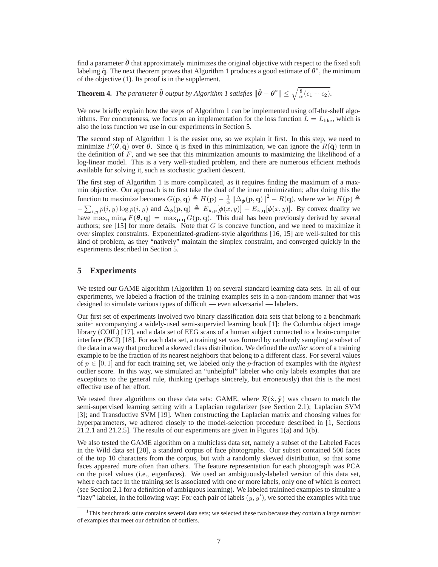find a parameter  $\hat{\theta}$  that approximately minimizes the original objective with respect to the fixed soft labeling  $\tilde{q}$ . The next theorem proves that Algorithm 1 produces a good estimate of  $\theta^*$ , the minimum of the objective (1). Its proof is in the supplement.

**Theorem 4.** *The parameter*  $\tilde{\boldsymbol{\theta}}$  *output by Algorithm 1 satisfies*  $\|\tilde{\boldsymbol{\theta}} - \boldsymbol{\theta}^*\| \leq \sqrt{\frac{8}{\alpha}(\epsilon_1 + \epsilon_2)}$ *.* 

We now briefly explain how the steps of Algorithm 1 can be implemented using off-the-shelf algorithms. For concreteness, we focus on an implementation for the loss function  $L = L_{\text{like}}$ , which is also the loss function we use in our experiments in Section 5.

The second step of Algorithm 1 is the easier one, so we explain it first. In this step, we need to minimize  $F(\theta, \tilde{q})$  over  $\theta$ . Since  $\tilde{q}$  is fixed in this minimization, we can ignore the  $R(\tilde{q})$  term in the definition of  $F$ , and we see that this minimization amounts to maximizing the likelihood of a log-linear model. This is a very well-studied problem, and there are numerous efficient methods available for solving it, such as stochastic gradient descent.

The first step of Algorithm 1 is more complicated, as it requires finding the maximum of a maxmin objective. Our approach is to first take the dual of the inner minimization; after doing this the function to maximize becomes  $G(\mathbf{p}, \mathbf{q}) \triangleq H(\mathbf{p}) - \frac{1}{\alpha} ||\Delta_{\phi}(\mathbf{p}, \mathbf{q})||^2 - R(\mathbf{q})$ , where we let  $H(\mathbf{p}) \triangleq$  $-\sum_{i,y} p(i, y) \log p(i, y)$  and  $\Delta_{\phi}(\mathbf{p}, \mathbf{q}) \triangleq E_{\hat{\mathbf{x}}, \mathbf{p}}[\phi(x, y)] - E_{\hat{\mathbf{x}}, \mathbf{q}}[\phi(x, y)]$ . By convex duality we have  $\max_{\mathbf{q}} \min_{\theta} F(\theta, \mathbf{q}) = \max_{\mathbf{p}, \mathbf{q}} G(\mathbf{p}, \mathbf{q})$ . This dual has been previously derived by several authors; see [15] for more details. Note that  $G$  is concave function, and we need to maximize it over simplex constraints. Exponentiated-gradient-style algorithms [16, 15] are well-suited for this kind of problem, as they "natively" maintain the simplex constraint, and converged quickly in the experiments described in Section 5.

# **5 Experiments**

We tested our GAME algorithm (Algorithm 1) on several standard learning data sets. In all of our experiments, we labeled a fraction of the training examples sets in a non-random manner that was designed to simulate various types of difficult — even adversarial — labelers.

Our first set of experiments involved two binary classification data sets that belong to a benchmark suite<sup>1</sup> accompanying a widely-used semi-supervied learning book [1]: the Columbia object image library (COIL) [17], and a data set of EEG scans of a human subject connected to a brain-computer interface (BCI) [18]. For each data set, a training set was formed by randomly sampling a subset of the data in a way that produced a skewed class distribution. We defined the *outlier score* of a training example to be the fraction of its nearest neighbors that belong to a different class. For several values of  $p \in [0, 1]$  and for each training set, we labeled only the *p*-fraction of examples with the *highest* outlier score. In this way, we simulated an "unhelpful" labeler who only labels examples that are exceptions to the general rule, thinking (perhaps sincerely, but erroneously) that this is the most effective use of her effort.

We tested three algorithms on these data sets: GAME, where  $\mathcal{R}(\hat{\mathbf{x}}, \hat{\mathbf{y}})$  was chosen to match the semi-supervised learning setting with a Laplacian regularizer (see Section 2.1); Laplacian SVM [3]; and Transductive SVM [19]. When constructing the Laplacian matrix and choosing values for hyperparameters, we adhered closely to the model-selection procedure described in [1, Sections 21.2.1 and 21.2.5]. The results of our experiments are given in Figures 1(a) and 1(b).

We also tested the GAME algorithm on a multiclass data set, namely a subset of the Labeled Faces in the Wild data set [20], a standard corpus of face photographs. Our subset contained 500 faces of the top 10 characters from the corpus, but with a randomly skewed distribution, so that some faces appeared more often than others. The feature representation for each photograph was PCA on the pixel values (i.e., eigenfaces). We used an ambiguously-labeled version of this data set, where each face in the training set is associated with one or more labels, only one of which is correct (see Section 2.1 for a definition of ambiguous learning). We labeled trainined examples to simulate a "lazy" labeler, in the following way: For each pair of labels  $(y, y')$ , we sorted the examples with true

<sup>&</sup>lt;sup>1</sup>This benchmark suite contains several data sets; we selected these two because they contain a large number of examples that meet our definition of outliers.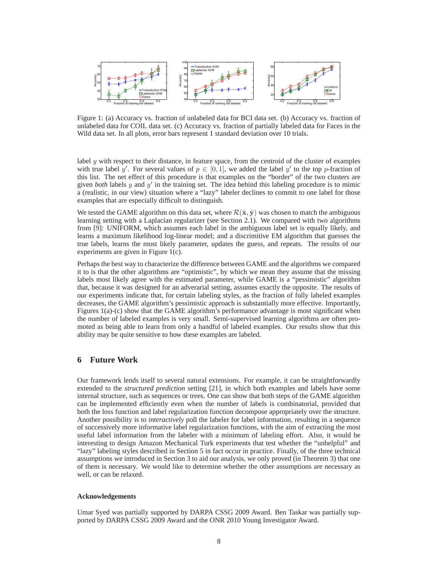

Figure 1: (a) Accuracy vs. fraction of unlabeled data for BCI data set. (b) Accuracy vs. fraction of unlabeled data for COIL data set. (c) Accuracy vs. fraction of partially labeled data for Faces in the Wild data set. In all plots, error bars represent 1 standard deviation over 10 trials.

label  $y$  with respect to their distance, in feature space, from the centroid of the cluster of examples with true label y'. For several values of  $p \in [0,1]$ , we added the label y' to the top p-fraction of this list. The net effect of this procedure is that examples on the "border" of the two clusters are given *both* labels  $y$  and  $y'$  in the training set. The idea behind this labeling procedure is to mimic a (realistic, in our view) situation where a "lazy" labeler declines to commit to one label for those examples that are especially difficult to distinguish.

We tested the GAME algorithm on this data set, where  $\mathcal{R}(\hat{x}, \hat{y})$  was chosen to match the ambiguous learning setting with a Laplacian regularizer (see Section 2.1). We compared with two algorithms from [9]: UNIFORM, which assumes each label in the ambiguous label set is equally likely, and learns a maximum likelihood log-linear model; and a discrimitive EM algorithm that guesses the true labels, learns the most likely parameter, updates the guess, and repeats. The results of our experiments are given in Figure 1(c).

Perhaps the best way to characterize the difference between GAME and the algorithms we compared it to is that the other algorithms are "optimistic", by which we mean they assume that the missing labels most likely agree with the estimated parameter, while GAME is a "pessimistic" algorithm that, because it was designed for an adverarial setting, assumes exactly the opposite. The results of our experiments indicate that, for certain labeling styles, as the fraction of fully labeled examples decreases, the GAME algorithm's pessimistic approach is substantially more effective. Importantly, Figures 1(a)-(c) show that the GAME algorithm's performance advantage is most significant when the number of labeled examples is very small. Semi-supervised learning algorithms are often promoted as being able to learn from only a handful of labeled examples. Our results show that this ability may be quite sensitive to how these examples are labeled.

# **6 Future Work**

Our framework lends itself to several natural extensions. For example, it can be straightforwardly extended to the *structured prediction* setting [21], in which both examples and labels have some internal structure, such as sequences or trees. One can show that both steps of the GAME algorithm can be implemented efficiently even when the number of labels is combinatorial, provided that both the loss function and label regularization function decompose appropriately over the structure. Another possibility is to *interactively* poll the labeler for label information, resulting in a sequence of successively more informative label regularization functions, with the aim of extracting the most useful label information from the labeler with a minimum of labeling effort. Also, it would be interesting to design Amazon Mechanical Turk experiments that test whether the "unhelpful" and "lazy" labeling styles described in Section 5 in fact occur in practice. Finally, of the three technical assumptions we introduced in Section 3 to aid our analysis, we only proved (in Theorem 3) that one of them is necessary. We would like to determine whether the other assumptions are necessary as well, or can be relaxed.

#### **Acknowledgements**

Umar Syed was partially supported by DARPA CSSG 2009 Award. Ben Taskar was partially supported by DARPA CSSG 2009 Award and the ONR 2010 Young Investigator Award.